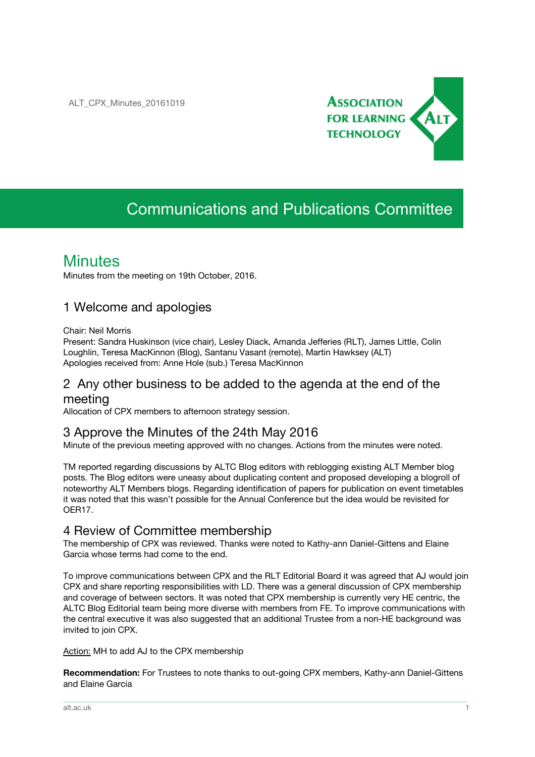

# Communications and Publications Committee

# **Minutes**

Minutes from the meeting on 19th October, 2016.

### 1 Welcome and apologies

#### Chair: Neil Morris

Present: Sandra Huskinson (vice chair), Lesley Diack, Amanda Jefferies (RLT), James Little, Colin Loughlin, Teresa MacKinnon (Blog), Santanu Vasant (remote), Martin Hawksey (ALT) Apologies received from: Anne Hole (sub.) Teresa MacKinnon

### 2 Any other business to be added to the agenda at the end of the meeting

Allocation of CPX members to afternoon strategy session.

### 3 Approve the Minutes of the 24th May 2016

Minute of the previous meeting approved with no changes. Actions from the minutes were noted.

TM reported regarding discussions by ALTC Blog editors with reblogging existing ALT Member blog posts. The Blog editors were uneasy about duplicating content and proposed developing a blogroll of noteworthy ALT Members blogs. Regarding identification of papers for publication on event timetables it was noted that this wasn't possible for the Annual Conference but the idea would be revisited for OER17.

### 4 Review of Committee membership

The membership of CPX was reviewed. Thanks were noted to Kathy-ann Daniel-Gittens and Elaine Garcia whose terms had come to the end.

To improve communications between CPX and the RLT Editorial Board it was agreed that AJ would join CPX and share reporting responsibilities with LD. There was a general discussion of CPX membership and coverage of between sectors. It was noted that CPX membership is currently very HE centric, the ALTC Blog Editorial team being more diverse with members from FE. To improve communications with the central executive it was also suggested that an additional Trustee from a non-HE background was invited to join CPX.

Action: MH to add AJ to the CPX membership

**Recommendation:** For Trustees to note thanks to out-going CPX members, Kathy-ann Daniel-Gittens and Elaine Garcia

\_\_\_\_\_\_\_\_\_\_\_\_\_\_\_\_\_\_\_\_\_\_\_\_\_\_\_\_\_\_\_\_\_\_\_\_\_\_\_\_\_\_\_\_\_\_\_\_\_\_\_\_\_\_\_\_\_\_\_\_\_\_\_\_\_\_\_\_\_\_\_\_\_\_\_\_\_\_\_\_\_\_\_\_\_\_\_\_\_\_\_\_\_\_\_\_\_\_\_\_\_\_\_\_\_\_\_\_\_\_\_\_\_\_\_\_\_\_\_\_\_\_\_\_\_\_\_\_\_\_\_\_\_\_\_\_\_\_\_\_\_\_\_\_\_\_\_\_\_\_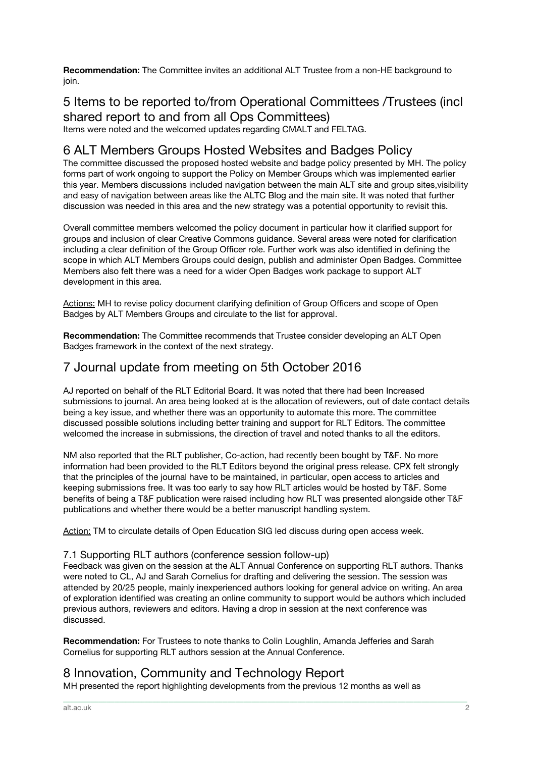**Recommendation:** The Committee invites an additional ALT Trustee from a non-HE background to join.

### 5 Items to be reported to/from Operational Committees /Trustees (incl shared report to and from all Ops Committees)

Items were noted and the welcomed updates regarding CMALT and FELTAG.

### 6 ALT Members Groups Hosted Websites and Badges Policy

The committee discussed the proposed hosted website and badge policy presented by MH. The policy forms part of work ongoing to support the Policy on Member Groups which was implemented earlier this year. Members discussions included navigation between the main ALT site and group sites,visibility and easy of navigation between areas like the ALTC Blog and the main site. It was noted that further discussion was needed in this area and the new strategy was a potential opportunity to revisit this.

Overall committee members welcomed the policy document in particular how it clarified support for groups and inclusion of clear Creative Commons guidance. Several areas were noted for clarification including a clear definition of the Group Officer role. Further work was also identified in defining the scope in which ALT Members Groups could design, publish and administer Open Badges. Committee Members also felt there was a need for a wider Open Badges work package to support ALT development in this area.

Actions: MH to revise policy document clarifying definition of Group Officers and scope of Open Badges by ALT Members Groups and circulate to the list for approval.

**Recommendation:** The Committee recommends that Trustee consider developing an ALT Open Badges framework in the context of the next strategy.

## 7 Journal update from meeting on 5th October 2016

AJ reported on behalf of the RLT Editorial Board. It was noted that there had been Increased submissions to journal. An area being looked at is the allocation of reviewers, out of date contact details being a key issue, and whether there was an opportunity to automate this more. The committee discussed possible solutions including better training and support for RLT Editors. The committee welcomed the increase in submissions, the direction of travel and noted thanks to all the editors.

NM also reported that the RLT publisher, Co-action, had recently been bought by T&F. No more information had been provided to the RLT Editors beyond the original press release. CPX felt strongly that the principles of the journal have to be maintained, in particular, open access to articles and keeping submissions free. It was too early to say how RLT articles would be hosted by T&F. Some benefits of being a T&F publication were raised including how RLT was presented alongside other T&F publications and whether there would be a better manuscript handling system.

Action: TM to circulate details of Open Education SIG led discuss during open access week.

#### 7.1 Supporting RLT authors (conference session follow-up)

Feedback was given on the session at the ALT Annual Conference on supporting RLT authors. Thanks were noted to CL, AJ and Sarah Cornelius for drafting and delivering the session. The session was attended by 20/25 people, mainly inexperienced authors looking for general advice on writing. An area of exploration identified was creating an online community to support would be authors which included previous authors, reviewers and editors. Having a drop in session at the next conference was discussed.

\_\_\_\_\_\_\_\_\_\_\_\_\_\_\_\_\_\_\_\_\_\_\_\_\_\_\_\_\_\_\_\_\_\_\_\_\_\_\_\_\_\_\_\_\_\_\_\_\_\_\_\_\_\_\_\_\_\_\_\_\_\_\_\_\_\_\_\_\_\_\_\_\_\_\_\_\_\_\_\_\_\_\_\_\_\_\_\_\_\_\_\_\_\_\_\_\_\_\_\_\_\_\_\_\_\_\_\_\_\_\_\_\_\_\_\_\_\_\_\_\_\_\_\_\_\_\_\_\_\_\_\_\_\_\_\_\_\_\_\_\_\_\_\_\_\_\_\_\_\_

**Recommendation:** For Trustees to note thanks to Colin Loughlin, Amanda Jefferies and Sarah Cornelius for supporting RLT authors session at the Annual Conference.

## 8 Innovation, Community and Technology Report

MH presented the report highlighting developments from the previous 12 months as well as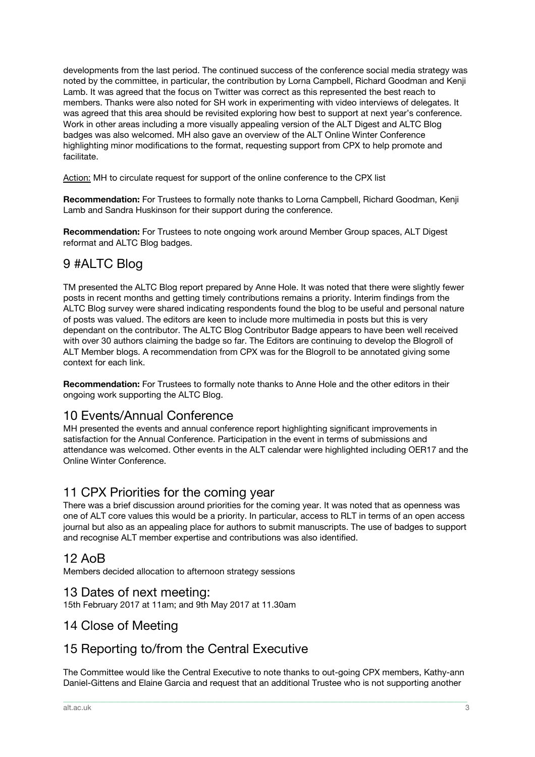developments from the last period. The continued success of the conference social media strategy was noted by the committee, in particular, the contribution by Lorna Campbell, Richard Goodman and Kenji Lamb. It was agreed that the focus on Twitter was correct as this represented the best reach to members. Thanks were also noted for SH work in experimenting with video interviews of delegates. It was agreed that this area should be revisited exploring how best to support at next year's conference. Work in other areas including a more visually appealing version of the ALT Digest and ALTC Blog badges was also welcomed. MH also gave an overview of the ALT Online Winter Conference highlighting minor modifications to the format, requesting support from CPX to help promote and facilitate.

Action: MH to circulate request for support of the online conference to the CPX list

**Recommendation:** For Trustees to formally note thanks to Lorna Campbell, Richard Goodman, Kenji Lamb and Sandra Huskinson for their support during the conference.

**Recommendation:** For Trustees to note ongoing work around Member Group spaces, ALT Digest reformat and ALTC Blog badges.

# 9 #ALTC Blog

TM presented the ALTC Blog report prepared by Anne Hole. It was noted that there were slightly fewer posts in recent months and getting timely contributions remains a priority. Interim findings from the ALTC Blog survey were shared indicating respondents found the blog to be useful and personal nature of posts was valued. The editors are keen to include more multimedia in posts but this is very dependant on the contributor. The ALTC Blog Contributor Badge appears to have been well received with over 30 authors claiming the badge so far. The Editors are continuing to develop the Blogroll of ALT Member blogs. A recommendation from CPX was for the Blogroll to be annotated giving some context for each link.

**Recommendation:** For Trustees to formally note thanks to Anne Hole and the other editors in their ongoing work supporting the ALTC Blog.

### 10 Events/Annual Conference

MH presented the events and annual conference report highlighting significant improvements in satisfaction for the Annual Conference. Participation in the event in terms of submissions and attendance was welcomed. Other events in the ALT calendar were highlighted including OER17 and the Online Winter Conference.

### 11 CPX Priorities for the coming year

There was a brief discussion around priorities for the coming year. It was noted that as openness was one of ALT core values this would be a priority. In particular, access to RLT in terms of an open access journal but also as an appealing place for authors to submit manuscripts. The use of badges to support and recognise ALT member expertise and contributions was also identified.

### 12 AoB

Members decided allocation to afternoon strategy sessions

### 13 Dates of next meeting:

15th February 2017 at 11am; and 9th May 2017 at 11.30am

### 14 Close of Meeting

## 15 Reporting to/from the Central Executive

The Committee would like the Central Executive to note thanks to out-going CPX members, Kathy-ann Daniel-Gittens and Elaine Garcia and request that an additional Trustee who is not supporting another

\_\_\_\_\_\_\_\_\_\_\_\_\_\_\_\_\_\_\_\_\_\_\_\_\_\_\_\_\_\_\_\_\_\_\_\_\_\_\_\_\_\_\_\_\_\_\_\_\_\_\_\_\_\_\_\_\_\_\_\_\_\_\_\_\_\_\_\_\_\_\_\_\_\_\_\_\_\_\_\_\_\_\_\_\_\_\_\_\_\_\_\_\_\_\_\_\_\_\_\_\_\_\_\_\_\_\_\_\_\_\_\_\_\_\_\_\_\_\_\_\_\_\_\_\_\_\_\_\_\_\_\_\_\_\_\_\_\_\_\_\_\_\_\_\_\_\_\_\_\_